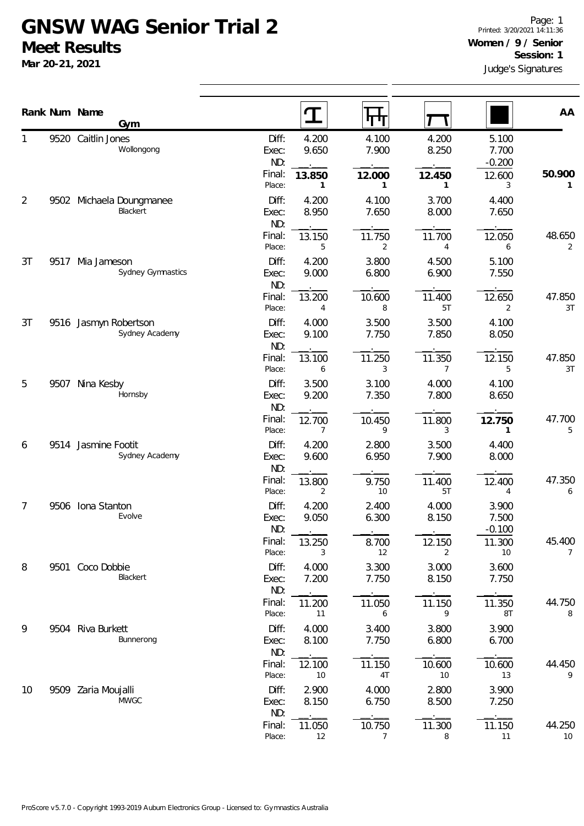## **GNSW WAG Senior Trial 2 Meet Results**

**Mar 20-21, 2021**

|                |      | Rank Num Name                           |                            |                                  |                          |                            | AA                       |
|----------------|------|-----------------------------------------|----------------------------|----------------------------------|--------------------------|----------------------------|--------------------------|
|                |      | Gym                                     | $\mathbf T$                | पग                               |                          |                            |                          |
| 1              |      | 9520 Caitlin Jones<br>Wollongong        | Diff:<br>Exec:<br>ND:      | 4.200<br>4.100<br>7.900<br>9.650 | 4.200<br>8.250           | 5.100<br>7.700<br>$-0.200$ |                          |
|                |      |                                         | Final:<br>13.850<br>Place: | 12.000<br>$\mathbf{1}$<br>1      | 12.450<br>1              | 12.600<br>3                | 50.900<br>1              |
| $\overline{2}$ |      | 9502 Michaela Doungmanee<br>Blackert    | Diff:<br>Exec:<br>ND:      | 4.200<br>4.100<br>8.950<br>7.650 | 3.700<br>8.000           | 4.400<br>7.650             |                          |
|                |      |                                         | Final:<br>13.150<br>Place: | 11.750<br>5<br>2                 | 11.700<br>$\overline{4}$ | 12.050<br>6                | 48.650<br>2              |
| 3T             | 9517 | Mia Jameson<br>Sydney Gymnastics        | Diff:<br>Exec:<br>ND:      | 4.200<br>3.800<br>6.800<br>9.000 | 4.500<br>6.900           | 5.100<br>7.550             |                          |
|                |      |                                         | Final:<br>13.200<br>Place: | 10.600<br>8<br>$\overline{4}$    | 11.400<br>5T             | 12.650<br>2                | 47.850<br>3T             |
| 3T             |      | 9516 Jasmyn Robertson<br>Sydney Academy | Diff:<br>Exec:<br>ND:      | 4.000<br>3.500<br>9.100<br>7.750 | 3.500<br>7.850           | 4.100<br>8.050             |                          |
|                |      |                                         | Final:<br>13.100<br>Place: | 11.250<br>3<br>6                 | 11.350<br>$\overline{7}$ | 12.150<br>5                | 47.850<br>3T             |
| 5              | 9507 | Nina Kesby<br>Hornsby                   | Diff:<br>Exec:<br>ND:      | 3.100<br>3.500<br>7.350<br>9.200 | 4.000<br>7.800           | 4.100<br>8.650             |                          |
|                |      |                                         | Final:<br>12.700<br>Place: | 10.450<br>9<br>7                 | 11.800<br>3              | 12.750<br>1                | 47.700<br>5              |
| 6              |      | 9514 Jasmine Footit<br>Sydney Academy   | Diff:<br>Exec:<br>ND:      | 4.200<br>2.800<br>9.600<br>6.950 | 3.500<br>7.900           | 4.400<br>8.000             |                          |
|                |      |                                         | Final:<br>13.800<br>Place: | 9.750<br>10<br>2                 | 11.400<br>5T             | 12.400<br>4                | 47.350<br>6              |
| 7              | 9506 | Iona Stanton<br>Evolve                  | Diff:<br>Exec:<br>ND:      | 4.200<br>2.400<br>6.300<br>9.050 | 4.000<br>8.150           | 3.900<br>7.500<br>$-0.100$ |                          |
|                |      |                                         | Final:<br>13.250<br>Place: | 8.700<br>12<br>3                 | 12.150<br>2              | 11.300<br>10               | 45.400<br>$\overline{7}$ |
| 8              |      | 9501 Coco Dobbie<br>Blackert            | Diff:<br>Exec:<br>ND:      | 3.300<br>4.000<br>7.200<br>7.750 | 3.000<br>8.150           | 3.600<br>7.750             |                          |
|                |      |                                         | Final:<br>11.200<br>Place: | 11.050<br>11<br>6                | 11.150<br>9              | 11.350<br>8T               | 44.750<br>8              |
| 9              |      | 9504 Riva Burkett<br>Bunnerong          | Diff:<br>Exec:<br>ND:      | 3.400<br>4.000<br>8.100<br>7.750 | 3.800<br>6.800           | 3.900<br>6.700             |                          |
|                |      |                                         | Final:<br>12.100<br>Place: | 11.150<br>$4\mathsf{T}$<br>10    | 10.600<br>10             | 10.600<br>13               | 44.450<br>9              |
| 10             |      | 9509 Zaria Moujalli<br><b>MWGC</b>      | Diff:<br>Exec:<br>ND:      | 2.900<br>4.000<br>6.750<br>8.150 | 2.800<br>8.500           | 3.900<br>7.250             |                          |
|                |      |                                         | Final:<br>11.050<br>Place: | 10.750<br>12<br>7                | 11.300<br>8              | 11.150<br>11               | 44.250<br>10             |